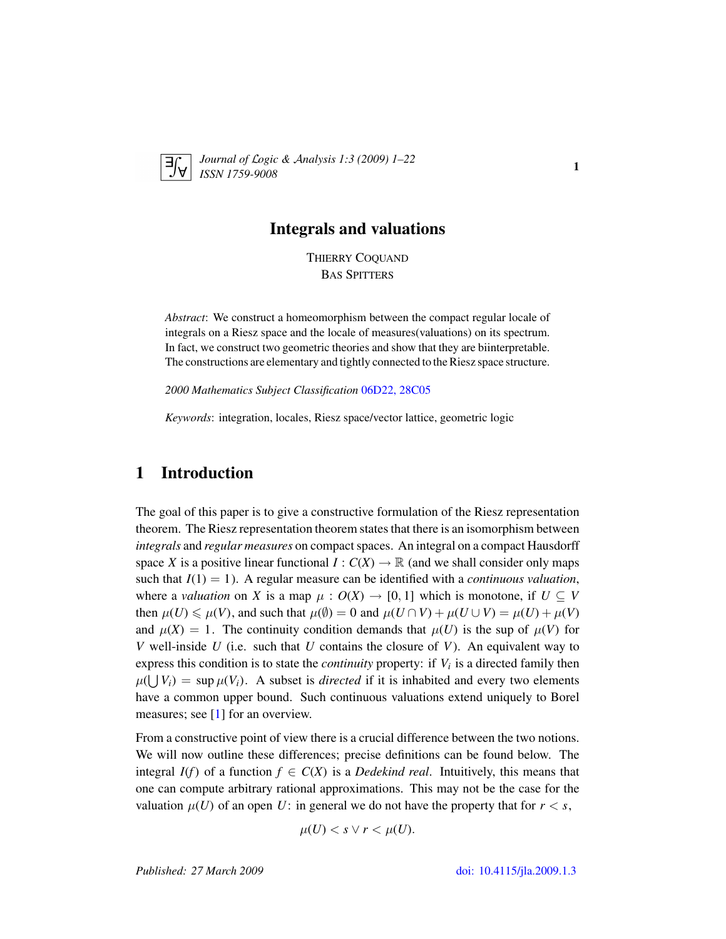

*Journal of* L*ogic &* A*nalysis 1:3 (2009) 1–22 ISSN 1759-9008* 1.5 (2005) 1 22

## Integrals and valuations

THIERRY COQUAND BAS SPITTERS

*Abstract*: We construct a homeomorphism between the compact regular locale of integrals on a Riesz space and the locale of measures(valuations) on its spectrum. In fact, we construct two geometric theories and show that they are biinterpretable. The constructions are elementary and tightly connected to the Riesz space structure.

*2000 Mathematics Subject Classification* [06D22, 28C05](http://www.ams.org/mathscinet/search/mscdoc.html?code=06D22, 28C05)

*Keywords*: integration, locales, Riesz space/vector lattice, geometric logic

# 1 Introduction

The goal of this paper is to give a constructive formulation of the Riesz representation theorem. The Riesz representation theorem states that there is an isomorphism between *integrals* and *regular measures* on compact spaces. An integral on a compact Hausdorff space *X* is a positive linear functional  $I: C(X) \to \mathbb{R}$  (and we shall consider only maps such that  $I(1) = 1$ ). A regular measure can be identified with a *continuous valuation*, where a *valuation* on *X* is a map  $\mu$ :  $O(X) \rightarrow [0, 1]$  which is monotone, if  $U \subseteq V$ then  $\mu(U) \le \mu(V)$ , and such that  $\mu(\emptyset) = 0$  and  $\mu(U \cap V) + \mu(U \cup V) = \mu(U) + \mu(V)$ and  $\mu(X) = 1$ . The continuity condition demands that  $\mu(U)$  is the sup of  $\mu(V)$  for *V* well-inside *U* (i.e. such that *U* contains the closure of *V*). An equivalent way to express this condition is to state the *continuity* property: if *V<sup>i</sup>* is a directed family then  $\mu(\bigcup V_i) = \sup \mu(V_i)$ . A subset is *directed* if it is inhabited and every two elements have a common upper bound. Such continuous valuations extend uniquely to Borel measures; see [\[1\]](#page-19-0) for an overview.

From a constructive point of view there is a crucial difference between the two notions. We will now outline these differences; precise definitions can be found below. The integral  $I(f)$  of a function  $f \in C(X)$  is a *Dedekind real*. Intuitively, this means that one can compute arbitrary rational approximations. This may not be the case for the valuation  $\mu(U)$  of an open U: in general we do not have the property that for  $r < s$ ,

$$
\mu(U) < s \lor r < \mu(U).
$$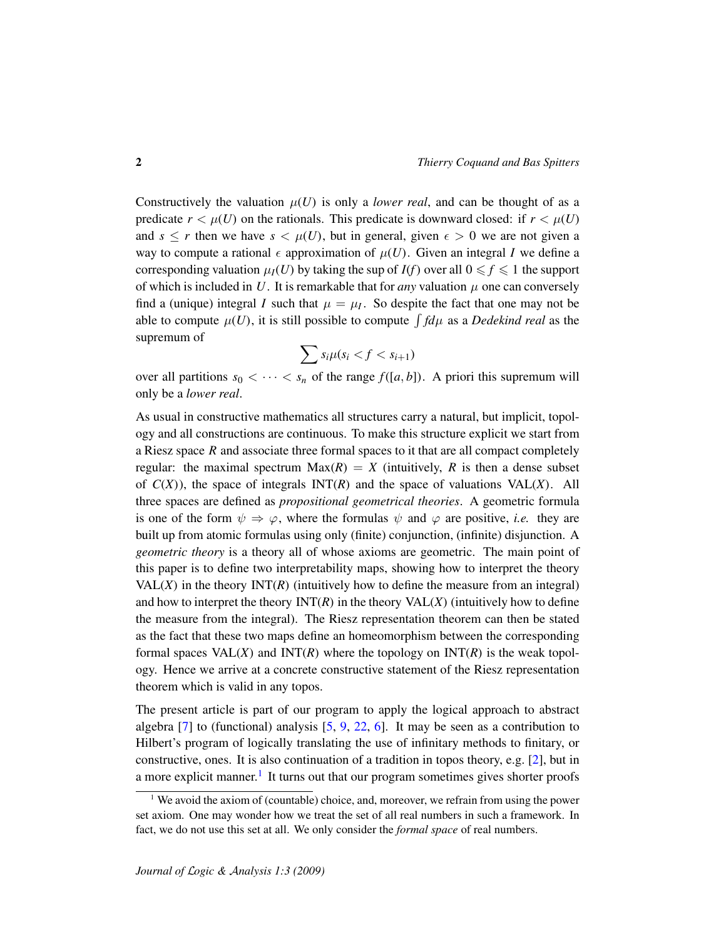Constructively the valuation  $\mu(U)$  is only a *lower real*, and can be thought of as a predicate  $r < \mu(U)$  on the rationals. This predicate is downward closed: if  $r < \mu(U)$ and  $s \le r$  then we have  $s < \mu(U)$ , but in general, given  $\epsilon > 0$  we are not given a way to compute a rational  $\epsilon$  approximation of  $\mu(U)$ . Given an integral *I* we define a corresponding valuation  $\mu_I(U)$  by taking the sup of  $I(f)$  over all  $0 \le f \le 1$  the support of which is included in  $U$ . It is remarkable that for *any* valuation  $\mu$  one can conversely find a (unique) integral *I* such that  $\mu = \mu_I$ . So despite the fact that one may not be able to compute  $\mu(U)$ , it is still possible to compute  $\int f d\mu$  as a *Dedekind real* as the supremum of

$$
\sum s_i \mu(s_i < f < s_{i+1})
$$

over all partitions  $s_0 < \cdots < s_n$  of the range  $f([a, b])$ . A priori this supremum will only be a *lower real*.

As usual in constructive mathematics all structures carry a natural, but implicit, topology and all constructions are continuous. To make this structure explicit we start from a Riesz space *R* and associate three formal spaces to it that are all compact completely regular: the maximal spectrum  $Max(R) = X$  (intuitively, R is then a dense subset of  $C(X)$ ), the space of integrals  $INT(R)$  and the space of valuations  $VAL(X)$ . All three spaces are defined as *propositional geometrical theories*. A geometric formula is one of the form  $\psi \Rightarrow \varphi$ , where the formulas  $\psi$  and  $\varphi$  are positive, *i.e.* they are built up from atomic formulas using only (finite) conjunction, (infinite) disjunction. A *geometric theory* is a theory all of whose axioms are geometric. The main point of this paper is to define two interpretability maps, showing how to interpret the theory VAL $(X)$  in the theory  $INT(R)$  (intuitively how to define the measure from an integral) and how to interpret the theory  $INT(R)$  in the theory  $VAL(X)$  (intuitively how to define the measure from the integral). The Riesz representation theorem can then be stated as the fact that these two maps define an homeomorphism between the corresponding formal spaces  $VAL(X)$  and  $INT(R)$  where the topology on  $INT(R)$  is the weak topology. Hence we arrive at a concrete constructive statement of the Riesz representation theorem which is valid in any topos.

The present article is part of our program to apply the logical approach to abstract algebra  $[7]$  to (functional) analysis  $[5, 9, 22, 6]$  $[5, 9, 22, 6]$  $[5, 9, 22, 6]$  $[5, 9, 22, 6]$  $[5, 9, 22, 6]$  $[5, 9, 22, 6]$  $[5, 9, 22, 6]$ . It may be seen as a contribution to Hilbert's program of logically translating the use of infinitary methods to finitary, or constructive, ones. It is also continuation of a tradition in topos theory, e.g. [\[2\]](#page-19-5), but in a more explicit manner.<sup>[1](#page-1-0)</sup> It turns out that our program sometimes gives shorter proofs

<span id="page-1-0"></span> $1$  We avoid the axiom of (countable) choice, and, moreover, we refrain from using the power set axiom. One may wonder how we treat the set of all real numbers in such a framework. In fact, we do not use this set at all. We only consider the *formal space* of real numbers.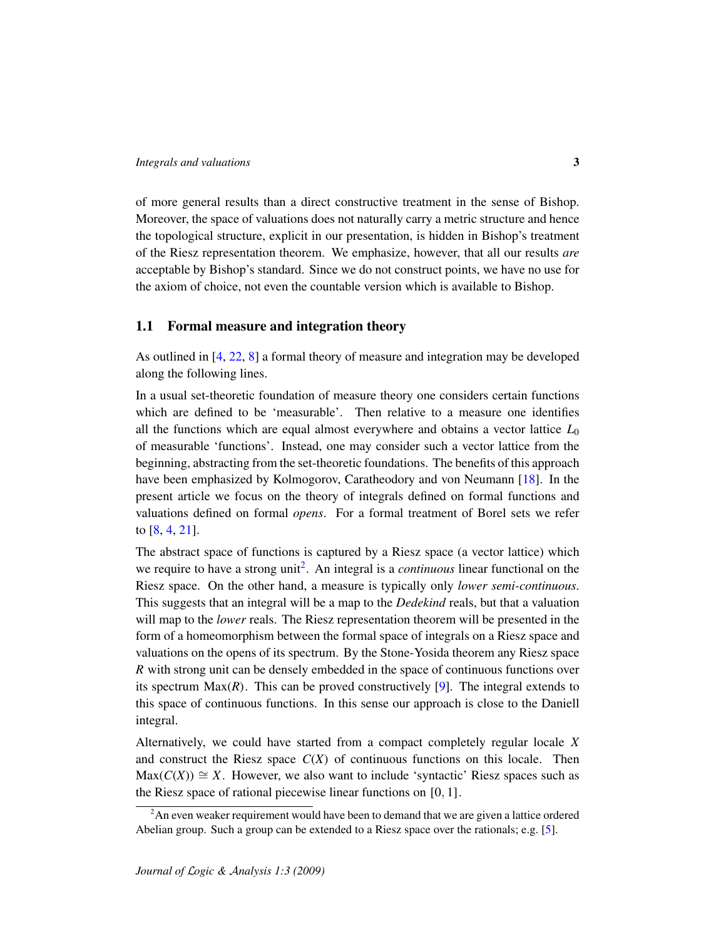of more general results than a direct constructive treatment in the sense of Bishop. Moreover, the space of valuations does not naturally carry a metric structure and hence the topological structure, explicit in our presentation, is hidden in Bishop's treatment of the Riesz representation theorem. We emphasize, however, that all our results *are* acceptable by Bishop's standard. Since we do not construct points, we have no use for the axiom of choice, not even the countable version which is available to Bishop.

## 1.1 Formal measure and integration theory

As outlined in [\[4,](#page-19-6) [22,](#page-20-0) [8\]](#page-19-7) a formal theory of measure and integration may be developed along the following lines.

In a usual set-theoretic foundation of measure theory one considers certain functions which are defined to be 'measurable'. Then relative to a measure one identifies all the functions which are equal almost everywhere and obtains a vector lattice  $L_0$ of measurable 'functions'. Instead, one may consider such a vector lattice from the beginning, abstracting from the set-theoretic foundations. The benefits of this approach have been emphasized by Kolmogorov, Caratheodory and von Neumann [\[18\]](#page-20-1). In the present article we focus on the theory of integrals defined on formal functions and valuations defined on formal *opens*. For a formal treatment of Borel sets we refer to [\[8,](#page-19-7) [4,](#page-19-6) [21\]](#page-20-2).

The abstract space of functions is captured by a Riesz space (a vector lattice) which we require to have a strong unit<sup>[2](#page-2-0)</sup>. An integral is a *continuous* linear functional on the Riesz space. On the other hand, a measure is typically only *lower semi-continuous*. This suggests that an integral will be a map to the *Dedekind* reals, but that a valuation will map to the *lower* reals. The Riesz representation theorem will be presented in the form of a homeomorphism between the formal space of integrals on a Riesz space and valuations on the opens of its spectrum. By the Stone-Yosida theorem any Riesz space *R* with strong unit can be densely embedded in the space of continuous functions over its spectrum  $Max(R)$ . This can be proved constructively [\[9\]](#page-19-3). The integral extends to this space of continuous functions. In this sense our approach is close to the Daniell integral.

Alternatively, we could have started from a compact completely regular locale *X* and construct the Riesz space  $C(X)$  of continuous functions on this locale. Then  $Max(C(X)) \cong X$ . However, we also want to include 'syntactic' Riesz spaces such as the Riesz space of rational piecewise linear functions on [0, 1].

<span id="page-2-0"></span><sup>&</sup>lt;sup>2</sup>An even weaker requirement would have been to demand that we are given a lattice ordered Abelian group. Such a group can be extended to a Riesz space over the rationals; e.g. [\[5\]](#page-19-2).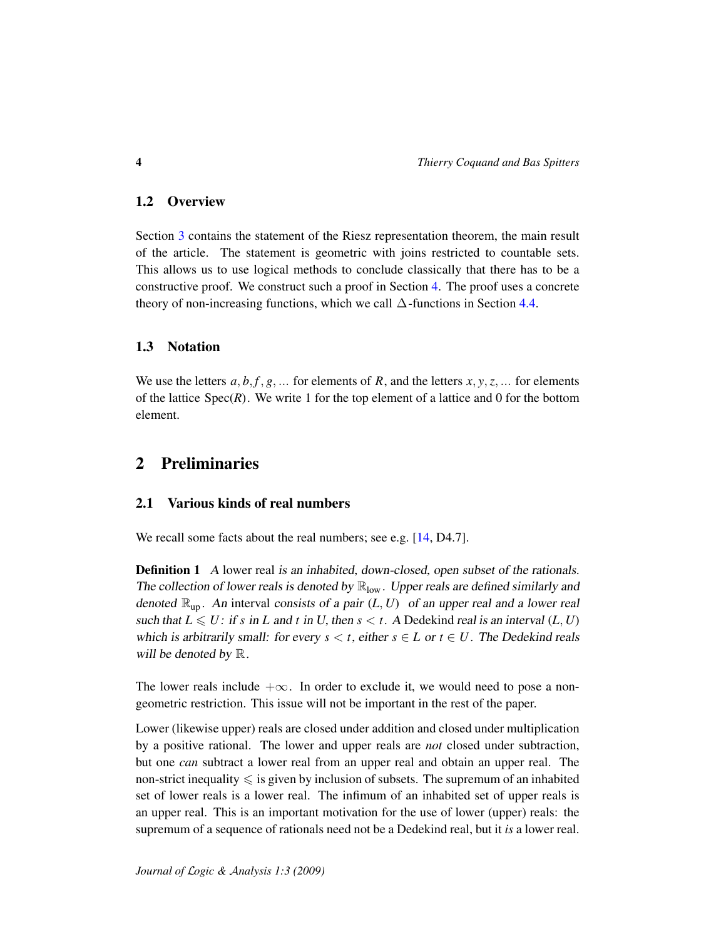## 1.2 Overview

Section [3](#page-7-0) contains the statement of the Riesz representation theorem, the main result of the article. The statement is geometric with joins restricted to countable sets. This allows us to use logical methods to conclude classically that there has to be a constructive proof. We construct such a proof in Section [4.](#page-11-0) The proof uses a concrete theory of non-increasing functions, which we call  $\Delta$ -functions in Section [4.4.](#page-15-0)

## 1.3 Notation

We use the letters  $a, b, f, g, \ldots$  for elements of  $R$ , and the letters  $x, y, z, \ldots$  for elements of the lattice  $Spec(R)$ . We write 1 for the top element of a lattice and 0 for the bottom element.

# 2 Preliminaries

## 2.1 Various kinds of real numbers

We recall some facts about the real numbers; see e.g. [\[14,](#page-20-3) D4.7].

**Definition 1** A lower real is an inhabited, down-closed, open subset of the rationals. The collection of lower reals is denoted by  $\mathbb{R}_{\text{low}}$ . Upper reals are defined similarly and denoted  $\mathbb{R}_{\text{up}}$ . An interval consists of a pair  $(L, U)$  of an upper real and a lower real such that  $L \le U$ : if *s* in *L* and *t* in *U*, then  $s < t$ . A Dedekind real is an interval (*L*, *U*) which is arbitrarily small: for every  $s < t$ , either  $s \in L$  or  $t \in U$ . The Dedekind reals will be denoted by  $\mathbb{R}$ .

The lower reals include  $+\infty$ . In order to exclude it, we would need to pose a nongeometric restriction. This issue will not be important in the rest of the paper.

Lower (likewise upper) reals are closed under addition and closed under multiplication by a positive rational. The lower and upper reals are *not* closed under subtraction, but one *can* subtract a lower real from an upper real and obtain an upper real. The non-strict inequality  $\leqslant$  is given by inclusion of subsets. The supremum of an inhabited set of lower reals is a lower real. The infimum of an inhabited set of upper reals is an upper real. This is an important motivation for the use of lower (upper) reals: the supremum of a sequence of rationals need not be a Dedekind real, but it *is* a lower real.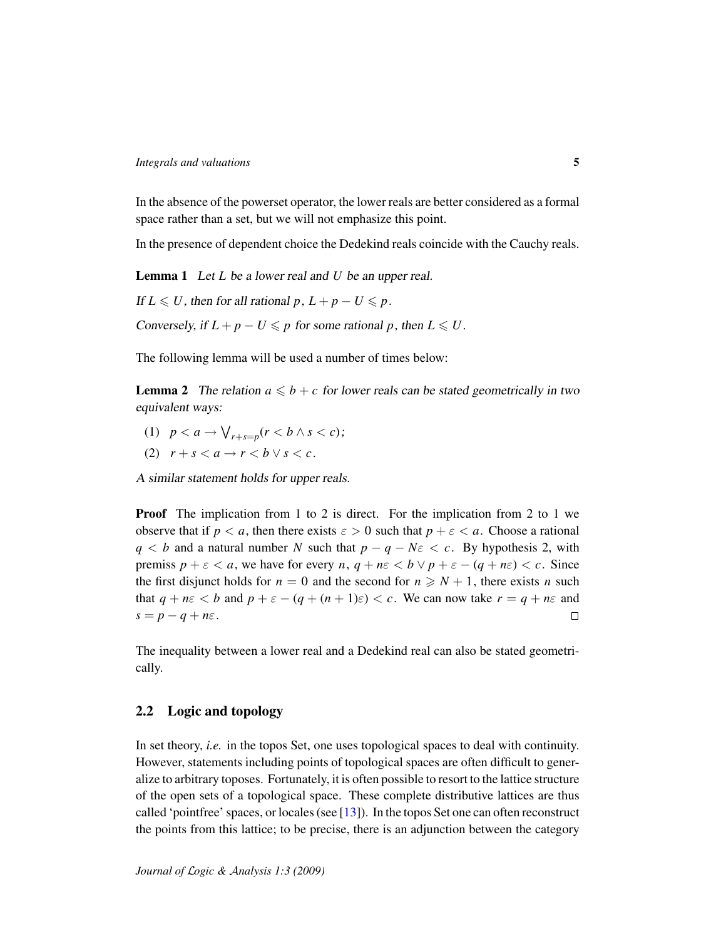In the absence of the powerset operator, the lower reals are better considered as a formal space rather than a set, but we will not emphasize this point.

In the presence of dependent choice the Dedekind reals coincide with the Cauchy reals.

<span id="page-4-1"></span>Lemma 1 Let *L* be a lower real and *U* be an upper real.

If  $L \le U$ , then for all rational *p*,  $L + p - U \le p$ . Conversely, if  $L + p - U \leq p$  for some rational p, then  $L \leq U$ .

The following lemma will be used a number of times below:

<span id="page-4-0"></span>**Lemma 2** The relation  $a \leq b + c$  for lower reals can be stated geometrically in two equivalent ways:

- (1)  $p < a \rightarrow \bigvee_{r+s=p} (r < b \land s < c);$
- (2)  $r + s < a \rightarrow r < b \vee s < c$ .

A similar statement holds for upper reals.

**Proof** The implication from 1 to 2 is direct. For the implication from 2 to 1 we observe that if  $p < a$ , then there exists  $\varepsilon > 0$  such that  $p + \varepsilon < a$ . Choose a rational *q* < *b* and a natural number *N* such that  $p - q - N\varepsilon < c$ . By hypothesis 2, with premiss  $p + \varepsilon < a$ , we have for every  $n, q + n\varepsilon < b \vee p + \varepsilon - (q + n\varepsilon) < c$ . Since the first disjunct holds for  $n = 0$  and the second for  $n \ge N + 1$ , there exists *n* such that  $q + n\varepsilon < b$  and  $p + \varepsilon - (q + (n + 1)\varepsilon) < c$ . We can now take  $r = q + n\varepsilon$  and  $s = p - q + n\varepsilon$ .  $\Box$ 

The inequality between a lower real and a Dedekind real can also be stated geometrically.

## 2.2 Logic and topology

In set theory, *i.e.* in the topos Set, one uses topological spaces to deal with continuity. However, statements including points of topological spaces are often difficult to generalize to arbitrary toposes. Fortunately, it is often possible to resort to the lattice structure of the open sets of a topological space. These complete distributive lattices are thus called 'pointfree' spaces, or locales (see [\[13\]](#page-20-4)). In the topos Set one can often reconstruct the points from this lattice; to be precise, there is an adjunction between the category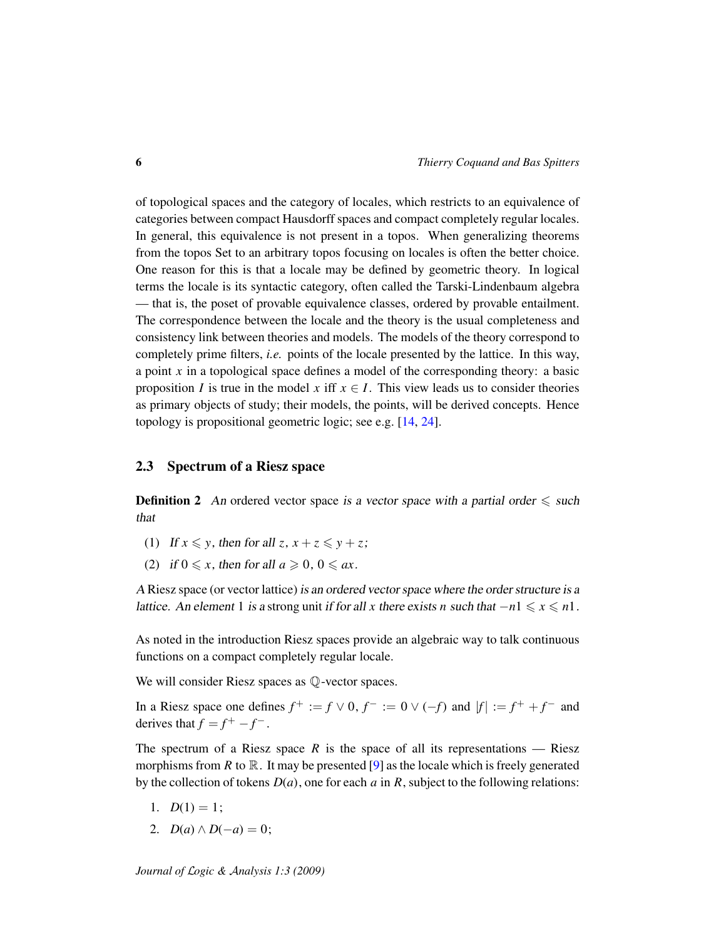of topological spaces and the category of locales, which restricts to an equivalence of categories between compact Hausdorff spaces and compact completely regular locales. In general, this equivalence is not present in a topos. When generalizing theorems from the topos Set to an arbitrary topos focusing on locales is often the better choice. One reason for this is that a locale may be defined by geometric theory. In logical terms the locale is its syntactic category, often called the Tarski-Lindenbaum algebra — that is, the poset of provable equivalence classes, ordered by provable entailment. The correspondence between the locale and the theory is the usual completeness and consistency link between theories and models. The models of the theory correspond to completely prime filters, *i.e.* points of the locale presented by the lattice. In this way, a point *x* in a topological space defines a model of the corresponding theory: a basic proposition *I* is true in the model *x* iff  $x \in I$ . This view leads us to consider theories as primary objects of study; their models, the points, will be derived concepts. Hence topology is propositional geometric logic; see e.g. [\[14,](#page-20-3) [24\]](#page-20-5).

### <span id="page-5-0"></span>2.3 Spectrum of a Riesz space

**Definition 2** An ordered vector space is a vector space with a partial order  $\leq$  such that

- (1) If  $x \leq y$ , then for all  $z, x + z \leq y + z$ ;
- (2) if  $0 \leq x$ , then for all  $a \geq 0$ ,  $0 \leq ax$ .

A Riesz space (or vector lattice) is an ordered vector space where the order structure is a *lattice.* An element 1 is a strong unit if for all *x* there exists *n* such that  $−n1 \le x \le n1$ .

As noted in the introduction Riesz spaces provide an algebraic way to talk continuous functions on a compact completely regular locale.

We will consider Riesz spaces as  $\mathbb{O}$ -vector spaces.

In a Riesz space one defines  $f^+ := f \vee 0$ ,  $f^- := 0 \vee (-f)$  and  $|f| := f^+ + f^-$  and derives that  $f = f^+ - f^-$ .

The spectrum of a Riesz space  $R$  is the space of all its representations — Riesz morphisms from *R* to  $\mathbb{R}$ . It may be presented [\[9\]](#page-19-3) as the locale which is freely generated by the collection of tokens *D*(*a*), one for each *a* in *R*, subject to the following relations:

- 1.  $D(1) = 1$ ;
- 2.  $D(a) \wedge D(-a) = 0;$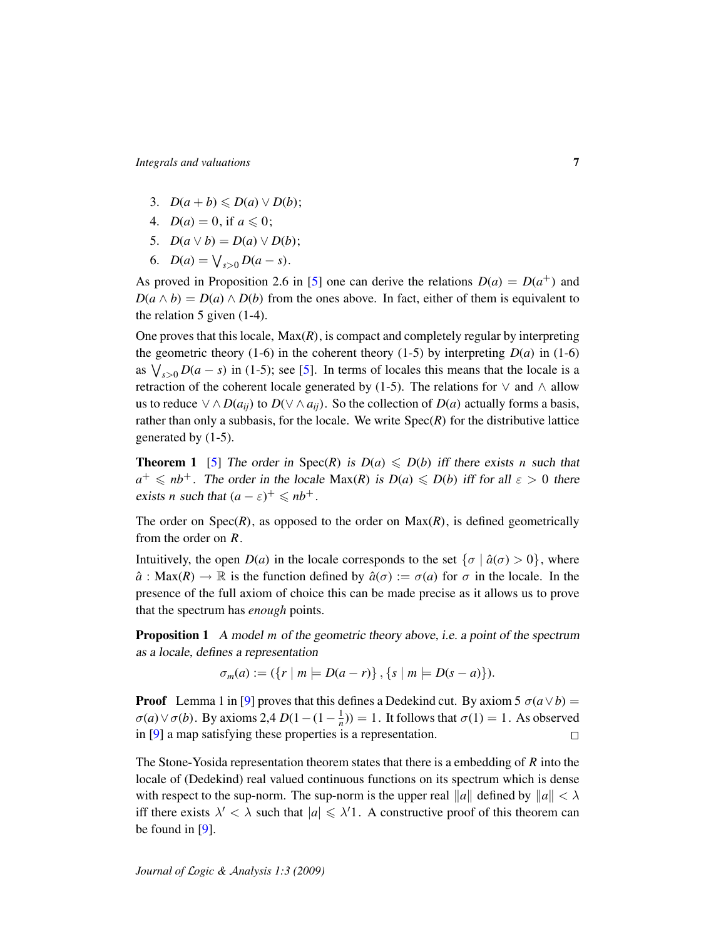- 3.  $D(a + b) \leq D(a) \vee D(b);$
- 4.  $D(a) = 0$ , if  $a \le 0$ ;
- 5.  $D(a \lor b) = D(a) \lor D(b);$
- 6.  $D(a) = \bigvee_{s>0} D(a-s)$ .

As proved in Proposition 2.6 in [\[5\]](#page-19-2) one can derive the relations  $D(a) = D(a^+)$  and  $D(a \wedge b) = D(a) \wedge D(b)$  from the ones above. In fact, either of them is equivalent to the relation 5 given (1-4).

One proves that this locale,  $Max(R)$ , is compact and completely regular by interpreting the geometric theory (1-6) in the coherent theory (1-5) by interpreting  $D(a)$  in (1-6) as  $\bigvee_{s>0} D(a-s)$  in (1-5); see [\[5\]](#page-19-2). In terms of locales this means that the locale is a retraction of the coherent locale generated by (1-5). The relations for  $\vee$  and  $\wedge$  allow us to reduce ∨ ∧ *D*( $a_{ij}$ ) to *D*(∨ ∧  $a_{ij}$ ). So the collection of *D*( $a$ ) actually forms a basis, rather than only a subbasis, for the locale. We write  $Spec(R)$  for the distributive lattice generated by (1-5).

**Theorem 1** [\[5\]](#page-19-2) The order in Spec(*R*) is  $D(a) \le D(b)$  iff there exists *n* such that  $a^+ \leqslant nb^+$ . The order in the locale Max(*R*) is  $D(a) \leqslant D(b)$  iff for all  $\varepsilon > 0$  there exists *n* such that  $(a - \varepsilon)^+ \leq nb^+$ .

The order on  $Spec(R)$ , as opposed to the order on  $Max(R)$ , is defined geometrically from the order on *R*.

Intuitively, the open  $D(a)$  in the locale corresponds to the set  $\{\sigma \mid \hat{a}(\sigma) > 0\}$ , where  $\hat{a}$ : Max(*R*)  $\rightarrow \mathbb{R}$  is the function defined by  $\hat{a}(\sigma) := \sigma(a)$  for  $\sigma$  in the locale. In the presence of the full axiom of choice this can be made precise as it allows us to prove that the spectrum has *enough* points.

Proposition 1 A model *m* of the geometric theory above, i.e. a point of the spectrum as a locale, defines a representation

 $\sigma_m(a) := (\{r \mid m \models D(a-r)\}, \{s \mid m \models D(s-a)\}).$ 

**Proof** Lemma 1 in [\[9\]](#page-19-3) proves that this defines a Dedekind cut. By axiom 5  $\sigma(a \lor b)$  =  $\sigma(a) \lor \sigma(b)$ . By axioms 2,4  $D(1 - (1 - \frac{1}{n})) = 1$ . It follows that  $\sigma(1) = 1$ . As observed in [\[9\]](#page-19-3) a map satisfying these properties is a representation.  $\Box$ 

The Stone-Yosida representation theorem states that there is a embedding of *R* into the locale of (Dedekind) real valued continuous functions on its spectrum which is dense with respect to the sup-norm. The sup-norm is the upper real  $\|a\|$  defined by  $\|a\| < \lambda$ iff there exists  $\lambda' < \lambda$  such that  $|a| \leq \lambda'$ 1. A constructive proof of this theorem can be found in [\[9\]](#page-19-3).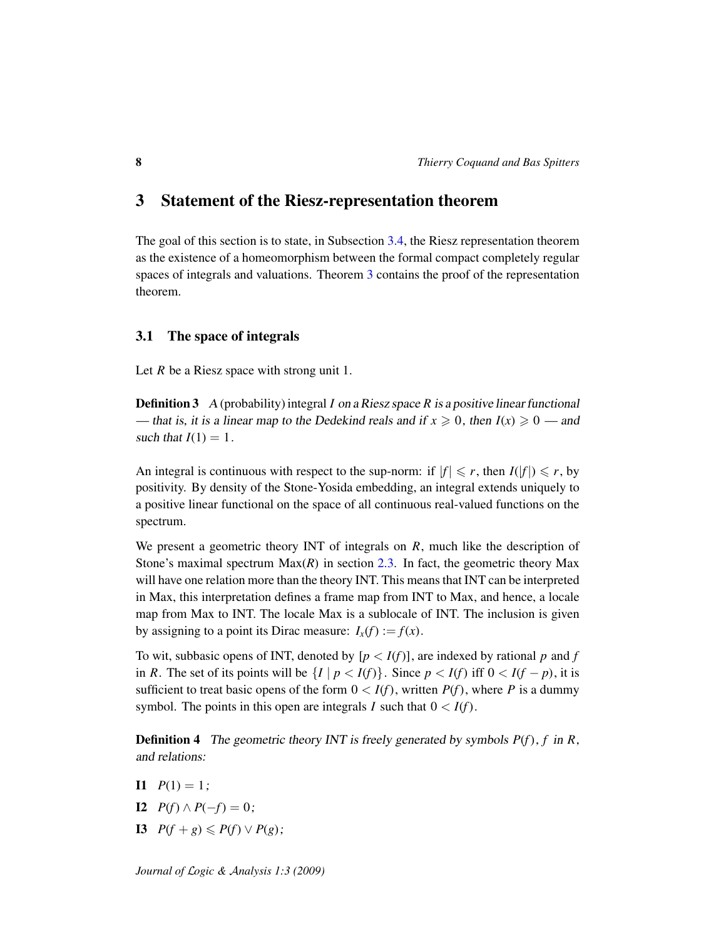## <span id="page-7-0"></span>3 Statement of the Riesz-representation theorem

The goal of this section is to state, in Subsection [3.4,](#page-10-0) the Riesz representation theorem as the existence of a homeomorphism between the formal compact completely regular spaces of integrals and valuations. Theorem [3](#page-18-0) contains the proof of the representation theorem.

### 3.1 The space of integrals

Let *R* be a Riesz space with strong unit 1.

**Definition 3** A (probability) integral *I* on a Riesz space *R* is a positive linear functional — that is, it is a linear map to the Dedekind reals and if  $x \ge 0$ , then  $I(x) \ge 0$  — and such that  $I(1) = 1$ .

An integral is continuous with respect to the sup-norm: if  $|f| \le r$ , then  $I(|f|) \le r$ , by positivity. By density of the Stone-Yosida embedding, an integral extends uniquely to a positive linear functional on the space of all continuous real-valued functions on the spectrum.

We present a geometric theory INT of integrals on *R*, much like the description of Stone's maximal spectrum Max(*R*) in section [2.3.](#page-5-0) In fact, the geometric theory Max will have one relation more than the theory INT. This means that INT can be interpreted in Max, this interpretation defines a frame map from INT to Max, and hence, a locale map from Max to INT. The locale Max is a sublocale of INT. The inclusion is given by assigning to a point its Dirac measure:  $I_x(f) := f(x)$ .

To wit, subbasic opens of INT, denoted by  $[p < I(f)]$ , are indexed by rational p and f in *R*. The set of its points will be  $\{I \mid p < I(f)\}$ . Since  $p < I(f)$  iff  $0 < I(f - p)$ , it is sufficient to treat basic opens of the form  $0 < I(f)$ , written  $P(f)$ , where P is a dummy symbol. The points in this open are integrals *I* such that  $0 < I(f)$ .

Definition 4 The geometric theory INT is freely generated by symbols *P*(*f*), *f* in *R*, and relations:

- $I1 \quad P(1) = 1$ :
- **I2**  $P(f) \wedge P(-f) = 0;$
- **I3**  $P(f + g) \leq P(f) \vee P(g);$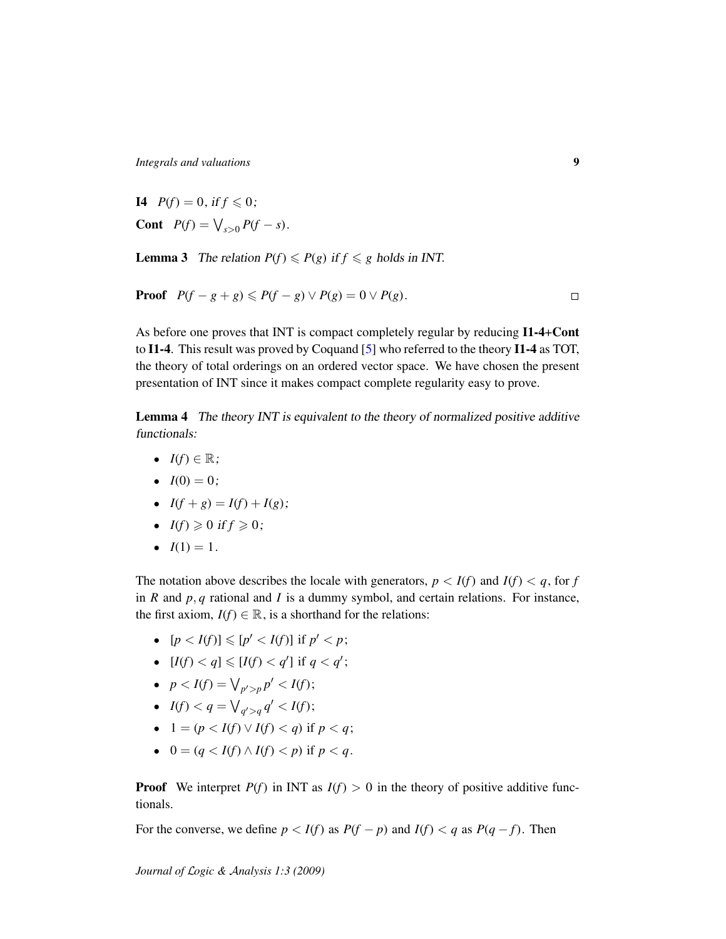**I4**  $P(f) = 0$ , if  $f \le 0$ ; **Cont**  $P(f) = \bigvee_{s>0} P(f - s).$ 

<span id="page-8-0"></span>**Lemma 3** The relation  $P(f) \leq P(g)$  if  $f \leq g$  holds in INT.

**Proof** 
$$
P(f - g + g) \leq P(f - g) \vee P(g) = 0 \vee P(g).
$$

As before one proves that INT is compact completely regular by reducing I1-4+Cont to I1-4. This result was proved by Coquand [\[5\]](#page-19-2) who referred to the theory I1-4 as TOT, the theory of total orderings on an ordered vector space. We have chosen the present presentation of INT since it makes compact complete regularity easy to prove.

Lemma 4 The theory INT is equivalent to the theory of normalized positive additive functionals:

- $I(f) \in \mathbb{R}$ ;
- $I(0) = 0;$
- $I(f+g) = I(f) + I(g);$
- $I(f) \geq 0$  if  $f \geq 0$ ;
- $I(1) = 1$ .

The notation above describes the locale with generators,  $p < I(f)$  and  $I(f) < q$ , for *f* in *R* and *p*, *q* rational and *I* is a dummy symbol, and certain relations. For instance, the first axiom,  $I(f) \in \mathbb{R}$ , is a shorthand for the relations:

- $[p < I(f)] \leq p' < I(f)$ ] if  $p' < p$ ;
- $[I(f) < q] \leq [I(f) < q']$  if  $q < q'$ ;
- $p < I(f) = \bigvee_{p' > p} p' < I(f);$
- $I(f) < q = \bigvee_{q' > q} q' < I(f);$
- $1 = (p < I(f) \lor I(f) < q)$  if  $p < q$ ;
- $0 = (q < I(f) \land I(f) < p)$  if  $p < q$ .

**Proof** We interpret  $P(f)$  in INT as  $I(f) > 0$  in the theory of positive additive functionals.

For the converse, we define  $p < I(f)$  as  $P(f - p)$  and  $I(f) < q$  as  $P(q - f)$ . Then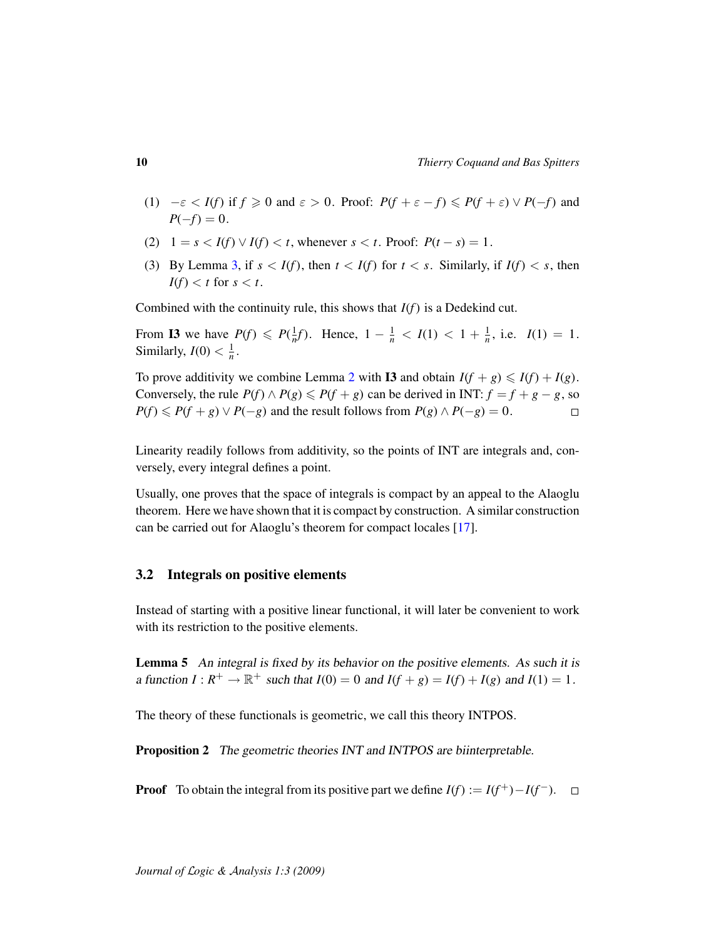- (1)  $-\varepsilon < I(f)$  if  $f \ge 0$  and  $\varepsilon > 0$ . Proof:  $P(f + \varepsilon f) \le P(f + \varepsilon) \vee P(-f)$  and  $P(-f) = 0.$
- (2)  $1 = s < I(f) \vee I(f) < t$ , whenever  $s < t$ . Proof:  $P(t s) = 1$ .
- (3) By Lemma [3,](#page-8-0) if  $s < I(f)$ , then  $t < I(f)$  for  $t < s$ . Similarly, if  $I(f) < s$ , then  $I(f) < t$  for  $s < t$ .

Combined with the continuity rule, this shows that *I*(*f*) is a Dedekind cut.

From **I3** we have  $P(f) \le P(\frac{1}{n}f)$ . Hence,  $1 - \frac{1}{n} < I(1) < 1 + \frac{1}{n}$ , i.e.  $I(1) = 1$ . Similarly,  $I(0) < \frac{1}{n}$ .

To prove additivity we combine Lemma [2](#page-4-0) with **I3** and obtain  $I(f + g) \leq I(f) + I(g)$ . Conversely, the rule  $P(f) \wedge P(g) \leq P(f + g)$  can be derived in INT:  $f = f + g - g$ , so  $P(f) \leq P(f + g) \vee P(-g)$  and the result follows from  $P(g) \wedge P(-g) = 0$ .  $\Box$ 

Linearity readily follows from additivity, so the points of INT are integrals and, conversely, every integral defines a point.

Usually, one proves that the space of integrals is compact by an appeal to the Alaoglu theorem. Here we have shown that it is compact by construction. A similar construction can be carried out for Alaoglu's theorem for compact locales [\[17\]](#page-20-6).

#### 3.2 Integrals on positive elements

Instead of starting with a positive linear functional, it will later be convenient to work with its restriction to the positive elements.

Lemma 5 An integral is fixed by its behavior on the positive elements. As such it is a function  $I: R^+ \to \mathbb{R}^+$  such that  $I(0) = 0$  and  $I(f + g) = I(f) + I(g)$  and  $I(1) = 1$ .

The theory of these functionals is geometric, we call this theory INTPOS.

Proposition 2 The geometric theories INT and INTPOS are biinterpretable.

**Proof** To obtain the integral from its positive part we define  $I(f) := I(f^+) - I(f^-)$ .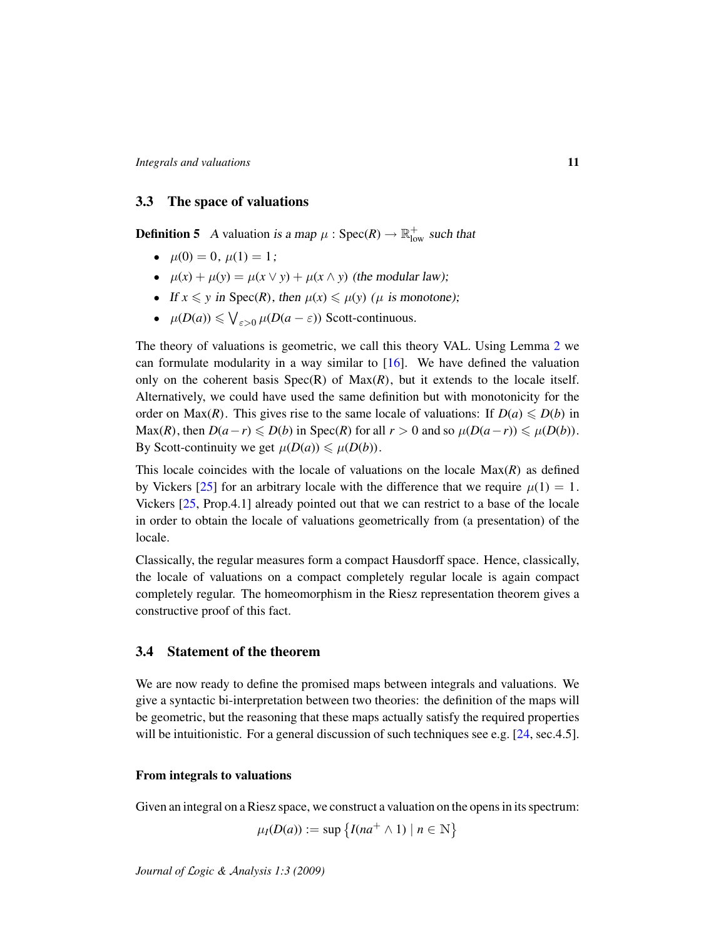## 3.3 The space of valuations

**Definition 5** A valuation is a map  $\mu$  : Spec(*R*)  $\rightarrow \mathbb{R}^+_{\text{low}}$  such that

- $\mu(0) = 0, \mu(1) = 1$ :
- $\mu(x) + \mu(y) = \mu(x \vee y) + \mu(x \wedge y)$  (the modular law);
- If  $x \leq y$  in Spec(*R*), then  $\mu(x) \leq \mu(y)$  ( $\mu$  is monotone);
- $\mu(D(a)) \leq \bigvee_{\varepsilon > 0} \mu(D(a \varepsilon))$  Scott-continuous.

The theory of valuations is geometric, we call this theory VAL. Using Lemma [2](#page-4-0) we can formulate modularity in a way similar to [\[16\]](#page-20-7). We have defined the valuation only on the coherent basis  $Spec(R)$  of  $Max(R)$ , but it extends to the locale itself. Alternatively, we could have used the same definition but with monotonicity for the order on  $Max(R)$ . This gives rise to the same locale of valuations: If  $D(a) \le D(b)$  in Max(*R*), then  $D(a - r) \le D(b)$  in Spec(*R*) for all  $r > 0$  and so  $\mu(D(a - r)) \le \mu(D(b))$ . By Scott-continuity we get  $\mu(D(a)) \leq \mu(D(b)).$ 

This locale coincides with the locale of valuations on the locale Max(*R*) as defined by Vickers [\[25\]](#page-20-8) for an arbitrary locale with the difference that we require  $\mu(1) = 1$ . Vickers [\[25,](#page-20-8) Prop.4.1] already pointed out that we can restrict to a base of the locale in order to obtain the locale of valuations geometrically from (a presentation) of the locale.

Classically, the regular measures form a compact Hausdorff space. Hence, classically, the locale of valuations on a compact completely regular locale is again compact completely regular. The homeomorphism in the Riesz representation theorem gives a constructive proof of this fact.

### <span id="page-10-0"></span>3.4 Statement of the theorem

We are now ready to define the promised maps between integrals and valuations. We give a syntactic bi-interpretation between two theories: the definition of the maps will be geometric, but the reasoning that these maps actually satisfy the required properties will be intuitionistic. For a general discussion of such techniques see e.g. [\[24,](#page-20-5) sec.4.5].

#### From integrals to valuations

Given an integral on a Riesz space, we construct a valuation on the opens in its spectrum:

$$
\mu_I(D(a)) := \sup \left\{ I(na^+ \wedge 1) \mid n \in \mathbb{N} \right\}
$$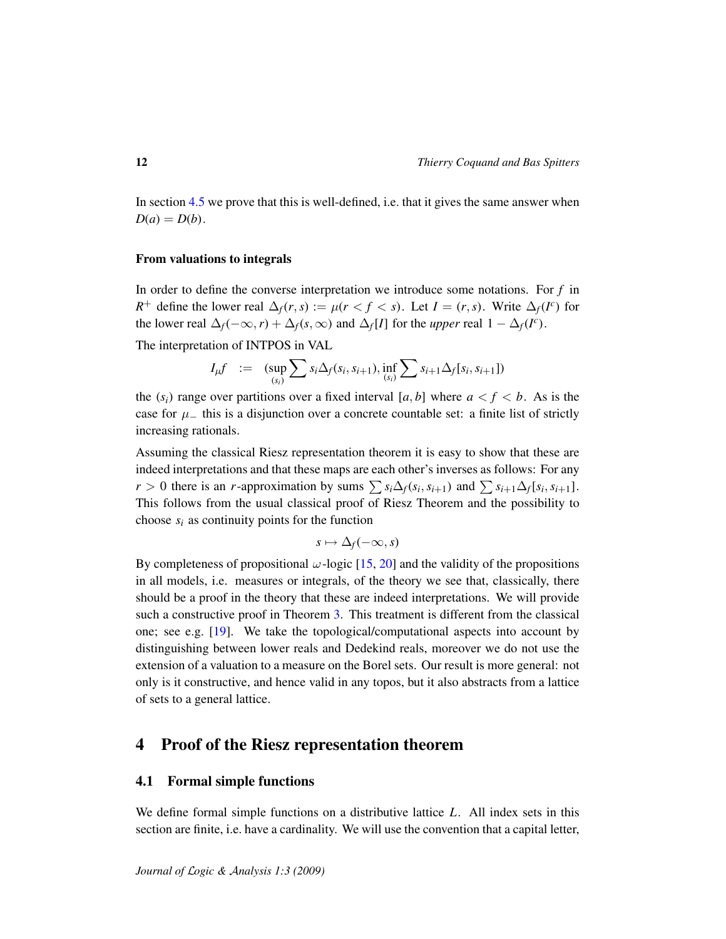In section [4.5](#page-17-0) we prove that this is well-defined, i.e. that it gives the same answer when  $D(a) = D(b)$ .

#### From valuations to integrals

In order to define the converse interpretation we introduce some notations. For *f* in *R*<sup>+</sup> define the lower real  $\Delta_f(r, s) := \mu(r < f < s)$ . Let  $I = (r, s)$ . Write  $\Delta_f(I^c)$  for the lower real  $\Delta_f(-\infty, r) + \Delta_f(s, \infty)$  and  $\Delta_f[I]$  for the *upper* real  $1 - \Delta_f(I^c)$ .

The interpretation of INTPOS in VAL

$$
I_{\mu}f = (\sup_{(s_i)} \sum s_i \Delta_f(s_i, s_{i+1}), \inf_{(s_i)} \sum s_{i+1} \Delta_f[s_i, s_{i+1}])
$$

the  $(s_i)$  range over partitions over a fixed interval [a, b] where  $a < f < b$ . As is the case for  $\mu$ <sub>−</sub> this is a disjunction over a concrete countable set: a finite list of strictly increasing rationals.

Assuming the classical Riesz representation theorem it is easy to show that these are indeed interpretations and that these maps are each other's inverses as follows: For any  $r > 0$  there is an *r*-approximation by sums  $\sum s_i \Delta_f(s_i, s_{i+1})$  and  $\sum s_{i+1} \Delta_f[s_i, s_{i+1}]$ . This follows from the usual classical proof of Riesz Theorem and the possibility to choose  $s_i$  as continuity points for the function

$$
s\mapsto \Delta_f(-\infty,s)
$$

By completeness of propositional  $\omega$ -logic [\[15,](#page-20-9) [20\]](#page-20-10) and the validity of the propositions in all models, i.e. measures or integrals, of the theory we see that, classically, there should be a proof in the theory that these are indeed interpretations. We will provide such a constructive proof in Theorem [3.](#page-18-0) This treatment is different from the classical one; see e.g. [\[19\]](#page-20-11). We take the topological/computational aspects into account by distinguishing between lower reals and Dedekind reals, moreover we do not use the extension of a valuation to a measure on the Borel sets. Our result is more general: not only is it constructive, and hence valid in any topos, but it also abstracts from a lattice of sets to a general lattice.

## <span id="page-11-0"></span>4 Proof of the Riesz representation theorem

## 4.1 Formal simple functions

We define formal simple functions on a distributive lattice *L*. All index sets in this section are finite, i.e. have a cardinality. We will use the convention that a capital letter,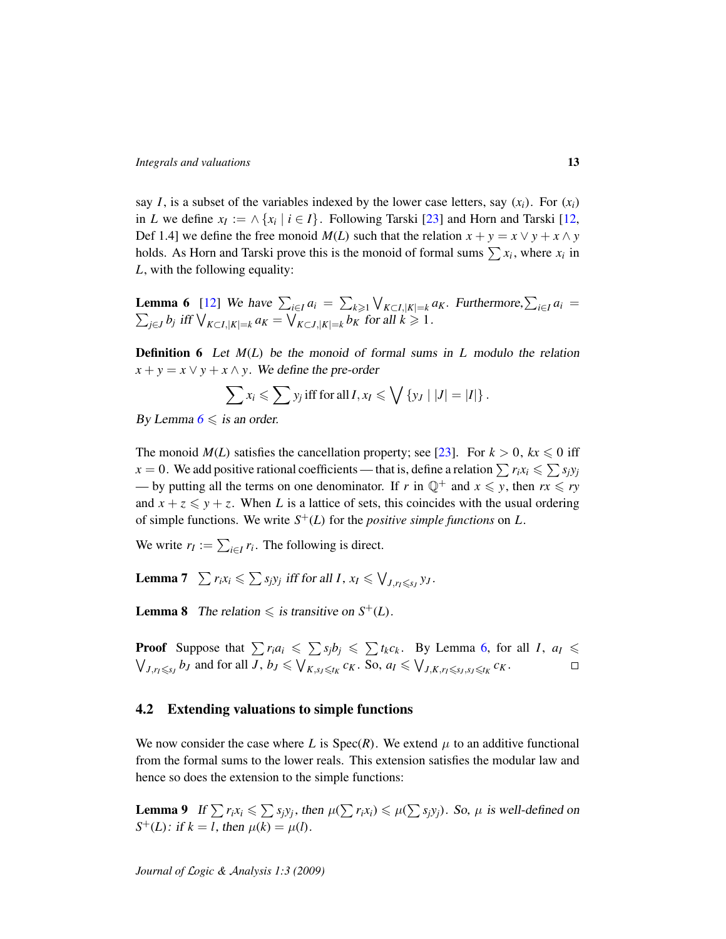say *I*, is a subset of the variables indexed by the lower case letters, say  $(x_i)$ . For  $(x_i)$ in *L* we define  $x_I := \wedge \{x_i \mid i \in I\}$ . Following Tarski [\[23\]](#page-20-12) and Horn and Tarski [\[12,](#page-20-13) Def 1.4] we define the free monoid  $M(L)$  such that the relation  $x + y = x \vee y + x \wedge y$ holds. As Horn and Tarski prove this is the monoid of formal sums  $\sum x_i$ , where  $x_i$  in *L*, with the following equality:

<span id="page-12-0"></span>**Lemma 6** [\[12\]](#page-20-13) We have  $\sum_{i \in I} a_i = \sum_{k \geq 1} \bigvee_{K \subset I, |K| = k} a_K$ . Furthermore,  $\sum_{i \in I} a_i =$  $\sum_{j\in J} b_j$  iff  $\bigvee_{K\subset I, |K|=k} a_K = \bigvee_{K\subset J, |K|=k} b_K$  for all  $k ≥ 1$ .

Definition 6 Let *M*(*L*) be the monoid of formal sums in *L* modulo the relation  $x + y = x \lor y + x \land y$ . We define the pre-order

$$
\sum x_i \leqslant \sum y_j \text{ iff for all } I, x_I \leqslant \bigvee \{y_J \mid |J| = |I|\}.
$$

By Lemma  $6 \leqslant$  $6 \leqslant$  is an order.

The monoid  $M(L)$  satisfies the cancellation property; see [\[23\]](#page-20-12). For  $k > 0$ ,  $kx \le 0$  iff  $x = 0$ . We add positive rational coefficients — that is, define a relation  $\sum r_i x_i \leqslant \sum s_j y_j$ — by putting all the terms on one denominator. If *r* in  $\mathbb{Q}^+$  and  $x \leq y$ , then  $rx \leq ry$ and  $x + z \leq y + z$ . When *L* is a lattice of sets, this coincides with the usual ordering of simple functions. We write *S* <sup>+</sup>(*L*) for the *positive simple functions* on *L*.

We write  $r_I := \sum_{i \in I} r_i$ . The following is direct.

**Lemma 7**  $\sum r_i x_i \leqslant \sum s_j y_j$  iff for all *I*,  $x_I \leqslant \bigvee_{J, r_I \leqslant s_J} y_J$ .

**Lemma 8** The relation  $\leq$  is transitive on  $S^+(L)$ .

**Proof** Suppose that  $\sum r_i a_i \le \sum s_j b_j \le \sum t_k c_k$ . By Lemma [6,](#page-12-0) for all *I*,  $a_i \le$  $\bigvee_{J,r_I \leq s_J} b_J$  and for all  $J, b_J \leq \bigvee_{K,s_J \leq t_K} c_K$ . So,  $a_I \leq \bigvee_{J,K,r_I \leq s_J,s_J \leq t_K} c_K$ .  $\Box$ 

#### 4.2 Extending valuations to simple functions

We now consider the case where *L* is  $Spec(R)$ . We extend  $\mu$  to an additive functional from the formal sums to the lower reals. This extension satisfies the modular law and hence so does the extension to the simple functions:

**Lemma 9** If  $\sum r_i x_i \leqslant \sum s_j y_j$ , then  $\mu(\sum r_i x_i) \leqslant \mu(\sum s_j y_j)$ . So,  $\mu$  is well-defined on *S*<sup>+</sup>(*L*): if *k* = *l*, then  $\mu$ (*k*) =  $\mu$ (*l*).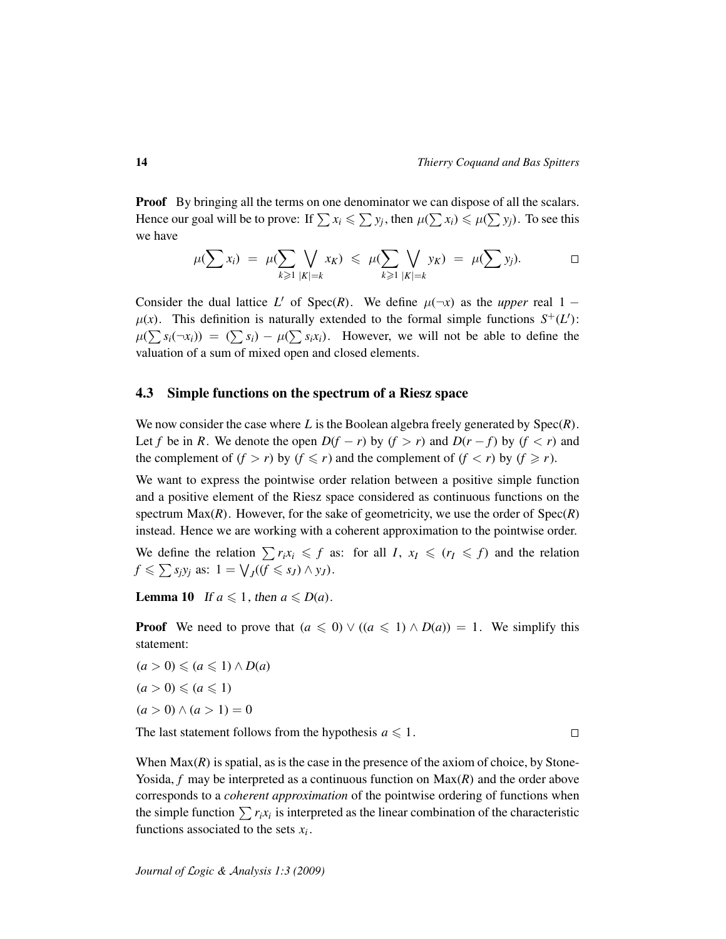**Proof** By bringing all the terms on one denominator we can dispose of all the scalars. Hence our goal will be to prove: If  $\sum x_i \leqslant \sum y_j$ , then  $\mu(\sum x_i) \leqslant \mu(\sum y_j)$ . To see this we have

$$
\mu(\sum x_i) = \mu(\sum_{k \geq 1} \bigvee_{|K|=k} x_K) \leq \mu(\sum_{k \geq 1} \bigvee_{|K|=k} y_K) = \mu(\sum y_j).
$$

Consider the dual lattice *L'* of Spec(*R*). We define  $\mu(\neg x)$  as the *upper* real 1 −  $\mu(x)$ . This definition is naturally extended to the formal simple functions  $S^+(L')$ :  $\mu(\sum s_i(\neg x_i)) = (\sum s_i) - \mu(\sum s_i x_i)$ . However, we will not be able to define the valuation of a sum of mixed open and closed elements.

#### 4.3 Simple functions on the spectrum of a Riesz space

We now consider the case where *L* is the Boolean algebra freely generated by Spec(*R*). Let *f* be in *R*. We denote the open  $D(f - r)$  by  $(f > r)$  and  $D(r - f)$  by  $(f < r)$  and the complement of  $(f > r)$  by  $(f \leq r)$  and the complement of  $(f < r)$  by  $(f \geq r)$ .

We want to express the pointwise order relation between a positive simple function and a positive element of the Riesz space considered as continuous functions on the spectrum  $Max(R)$ . However, for the sake of geometricity, we use the order of  $Spec(R)$ instead. Hence we are working with a coherent approximation to the pointwise order.

We define the relation  $\sum r_i x_i \leq f$  as: for all *I*,  $x_I \leq (r_I \leq f)$  and the relation  $f \le \sum s_j y_j$  as:  $1 = \bigvee_J ((f \le s_J) \land y_J)$ .

<span id="page-13-0"></span>**Lemma 10** If  $a \leq 1$ , then  $a \leq D(a)$ .

**Proof** We need to prove that  $(a \leq 0) \vee ((a \leq 1) \wedge D(a)) = 1$ . We simplify this statement:

 $(a > 0) \leqslant (a \leqslant 1) \wedge D(a)$  $(a > 0) \leqslant (a \leqslant 1)$  $(a > 0) \wedge (a > 1) = 0$ 

The last statement follows from the hypothesis  $a \leq 1$ .

 $\Box$ 

When  $Max(R)$  is spatial, as is the case in the presence of the axiom of choice, by Stone-Yosida, *f* may be interpreted as a continuous function on Max(*R*) and the order above corresponds to a *coherent approximation* of the pointwise ordering of functions when the simple function  $\sum r_i x_i$  is interpreted as the linear combination of the characteristic functions associated to the sets *x<sup>i</sup>* .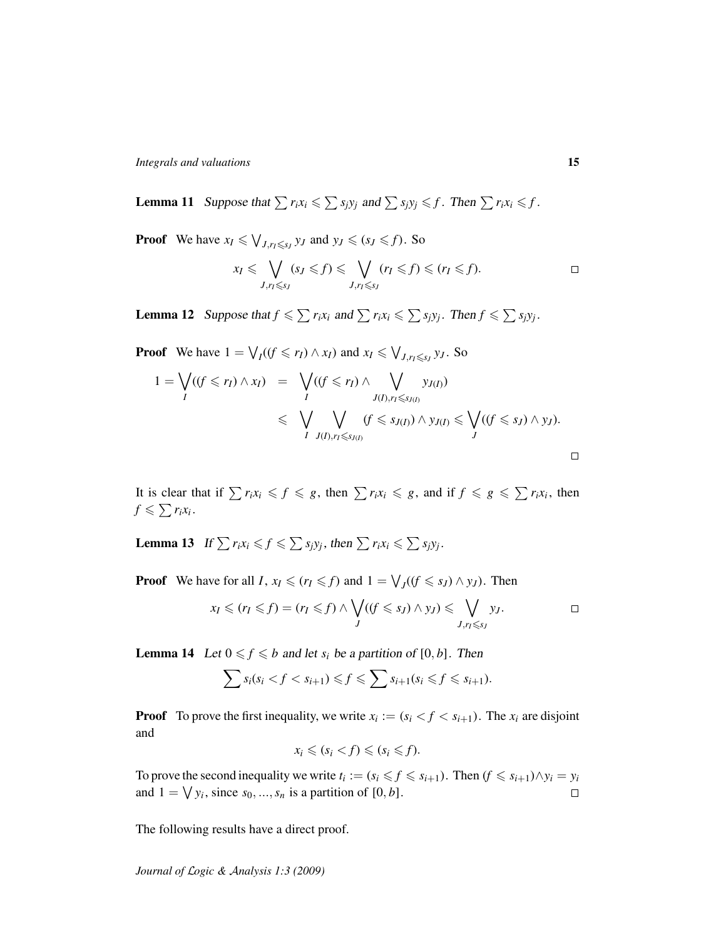**Lemma 11** Suppose that  $\sum r_i x_i \le \sum s_j y_j$  and  $\sum s_j y_j \le f$ . Then  $\sum r_i x_i \le f$ .

**Proof** We have  $x_I \le \bigvee_{J, r_I \le s_J} y_J$  and  $y_J \le (s_J \le f)$ . So

$$
x_I \leqslant \bigvee_{J,r_I \leqslant s_J} (s_J \leqslant f) \leqslant \bigvee_{J,r_I \leqslant s_J} (r_I \leqslant f) \leqslant (r_I \leqslant f).
$$

**Lemma 12** Suppose that  $f \le \sum r_i x_i$  and  $\sum r_i x_i \le \sum s_j y_j$ . Then  $f \le \sum s_j y_j$ .

**Proof** We have 
$$
1 = \bigvee_I ((f \leq r_I) \wedge x_I)
$$
 and  $x_I \leq \bigvee_{J, r_I \leq s_J} y_J$ . So

$$
1 = \bigvee_{I} ((f \leq r_I) \land x_I) = \bigvee_{I} ((f \leq r_I) \land \bigvee_{J(I), r_I \leq s_{J(I)}} y_{J(I)})
$$
  

$$
\leq \bigvee_{I} \bigvee_{J(I), r_I \leq s_{J(I)}} (f \leq s_{J(I)}) \land y_{J(I)} \leq \bigvee_{J} ((f \leq s_J) \land y_J).
$$

It is clear that if  $\sum r_i x_i \leq f \leq g$ , then  $\sum r_i x_i \leq g$ , and if  $f \leq g \leq \sum r_i x_i$ , then  $f \leqslant \sum r_i x_i$ .

<span id="page-14-1"></span>Lemma 13 If  $\sum r_i x_i \leqslant f \leqslant \sum s_j y_j$ , then  $\sum r_i x_i \leqslant \sum s_j y_j$ .

**Proof** We have for all *I*,  $x_I \le (r_I \le f)$  and  $1 = \bigvee_J ((f \le s_J) \land y_J)$ . Then

$$
x_I \leqslant (r_I \leqslant f) = (r_I \leqslant f) \wedge \bigvee_J ((f \leqslant s_J) \wedge y_J) \leqslant \bigvee_{J,r_I \leqslant s_J} y_J.
$$

<span id="page-14-0"></span>**Lemma 14** Let  $0 \leq f \leq b$  and let  $s_i$  be a partition of [0, *b*]. Then

$$
\sum s_i(s_i < f < s_{i+1}) \leqslant f \leqslant \sum s_{i+1}(s_i \leqslant f \leqslant s_{i+1}).
$$

**Proof** To prove the first inequality, we write  $x_i := (s_i \le f \le s_{i+1})$ . The  $x_i$  are disjoint and

$$
x_i \leqslant (s_i < f) \leqslant (s_i \leqslant f).
$$

To prove the second inequality we write  $t_i := (s_i \leq f \leq s_{i+1})$ . Then  $(f \leq s_{i+1}) \wedge y_i = y_i$ and  $1 = \bigvee y_i$ , since  $s_0, ..., s_n$  is a partition of  $[0, b]$ .  $\Box$ 

The following results have a direct proof.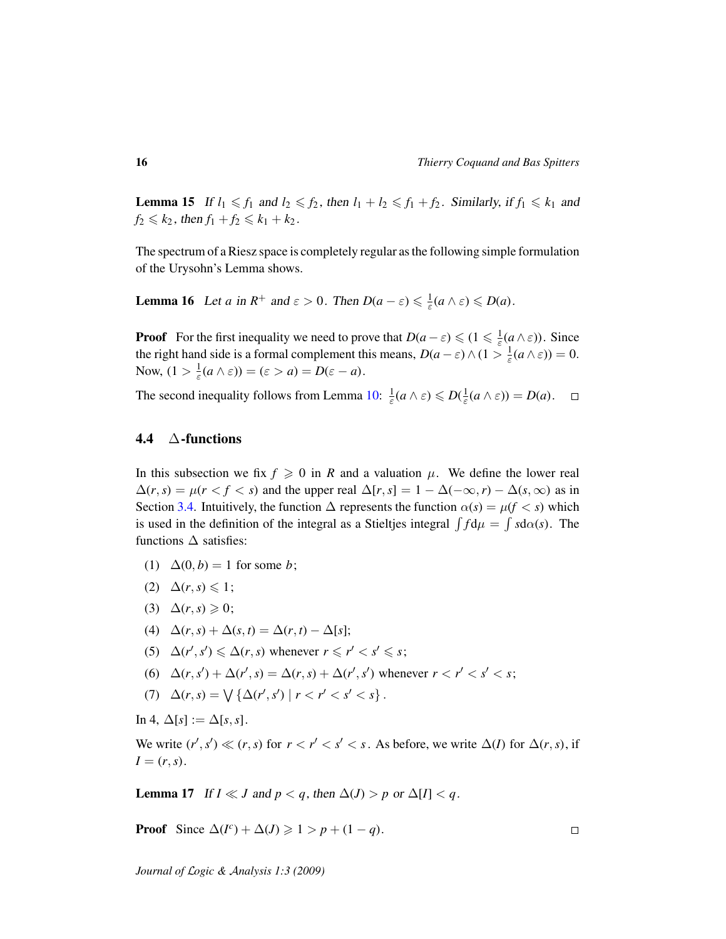<span id="page-15-1"></span>**Lemma 15** If  $l_1 \leq f_1$  and  $l_2 \leq f_2$ , then  $l_1 + l_2 \leq f_1 + f_2$ . Similarly, if  $f_1 \leq k_1$  and  $f_2 \le k_2$ , then  $f_1 + f_2 \le k_1 + k_2$ .

The spectrum of a Riesz space is completely regular as the following simple formulation of the Urysohn's Lemma shows.

<span id="page-15-2"></span>**Lemma 16** Let *a* in  $R^+$  and  $\varepsilon > 0$ . Then  $D(a - \varepsilon) \leq \frac{1}{\varepsilon}(a \wedge \varepsilon) \leq D(a)$ .

**Proof** For the first inequality we need to prove that  $D(a - \varepsilon) \leq (1 \leq \frac{1}{\varepsilon}(a \wedge \varepsilon))$ . Since the right hand side is a formal complement this means,  $D(a - \varepsilon) \wedge (1 > \frac{1}{\varepsilon}(a \wedge \varepsilon)) = 0$ . Now,  $(1 > \frac{1}{\varepsilon}(a \wedge \varepsilon)) = (\varepsilon > a) = D(\varepsilon - a).$ 

The second inequality follows from Lemma [10:](#page-13-0)  $\frac{1}{\varepsilon}(a \wedge \varepsilon) \leq D(\frac{1}{\varepsilon}(a \wedge \varepsilon)) = D(a)$ .

## <span id="page-15-0"></span>4.4 ∆-functions

In this subsection we fix  $f \ge 0$  in *R* and a valuation  $\mu$ . We define the lower real  $\Delta(r, s) = \mu(r < f < s)$  and the upper real  $\Delta[r, s] = 1 - \Delta(-\infty, r) - \Delta(s, \infty)$  as in Section [3.4.](#page-10-0) Intuitively, the function  $\Delta$  represents the function  $\alpha(s) = \mu(f \le s)$  which is used in the definition of the integral as a Stieltjes integral  $\int f d\mu = \int s d\alpha(s)$ . The functions  $\Delta$  satisfies:

- (1)  $\Delta(0, b) = 1$  for some *b*;
- (2)  $\Delta(r,s) \leq 1;$
- (3)  $\Delta(r,s) \geqslant 0;$
- (4)  $\Delta(r, s) + \Delta(s, t) = \Delta(r, t) \Delta[s];$
- (5)  $\Delta(r', s') \leq \Delta(r, s)$  whenever  $r \leq r' < s' \leq s$ ;
- (6)  $\Delta(r, s') + \Delta(r', s) = \Delta(r, s) + \Delta(r', s')$  whenever  $r < r' < s' < s$ ;
- (7)  $\Delta(r, s) = \sqrt{\{\Delta(r', s') \mid r < r' < s' < s\}}$ .

In 4,  $\Delta[s] := \Delta[s, s]$ .

We write  $(r', s') \ll (r, s)$  for  $r < r' < s' < s$ . As before, we write  $\Delta(I)$  for  $\Delta(r, s)$ , if  $I = (r, s)$ .

**Lemma 17** If  $I \ll J$  and  $p < q$ , then  $\Delta(J) > p$  or  $\Delta[I] < q$ .

**Proof** Since  $\Delta(I^c) + \Delta(J) \ge 1 > p + (1 - q)$ .

 $\Box$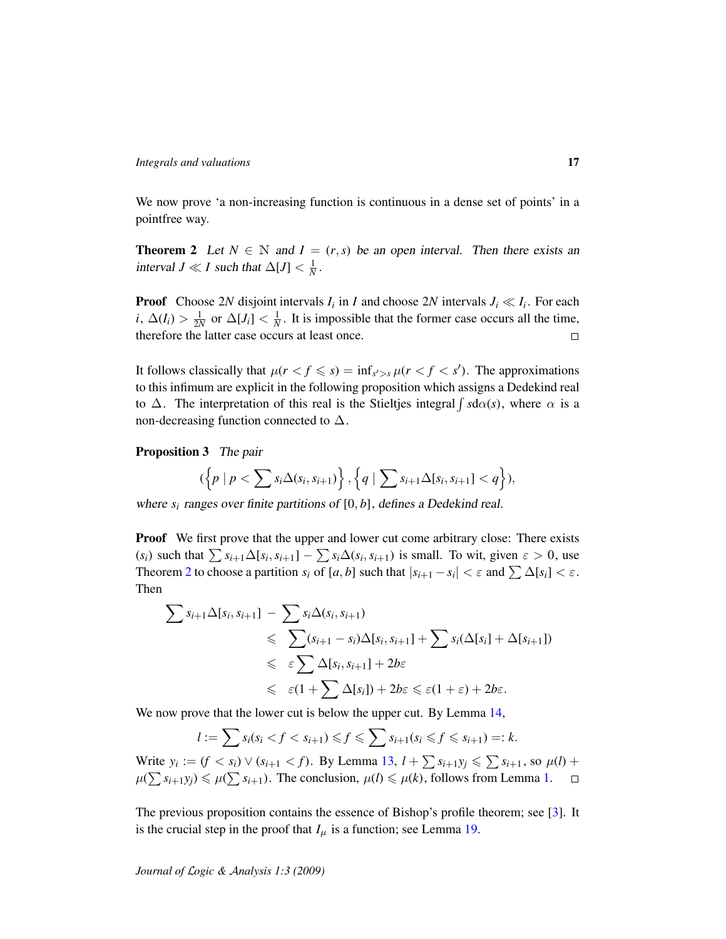We now prove 'a non-increasing function is continuous in a dense set of points' in a pointfree way.

<span id="page-16-0"></span>**Theorem 2** Let  $N \in \mathbb{N}$  and  $I = (r, s)$  be an open interval. Then there exists an interval *J*  $\ll$  *I* such that  $\Delta[J] < \frac{1}{N}$ .

**Proof** Choose 2*N* disjoint intervals  $I_i$  in *I* and choose 2*N* intervals  $J_i \ll I_i$ . For each  $i, \Delta(I_i) > \frac{1}{2N}$  or  $\Delta[J_i] < \frac{1}{N}$ . It is impossible that the former case occurs all the time, therefore the latter case occurs at least once.  $\Box$ 

It follows classically that  $\mu(r < f \leq s) = \inf_{s' > s} \mu(r < f < s')$ . The approximations to this infimum are explicit in the following proposition which assigns a Dedekind real to  $\Delta$ . The interpretation of this real is the Stieltjes integral  $\int s d\alpha(s)$ , where  $\alpha$  is a non-decreasing function connected to  $\Delta$ .

<span id="page-16-1"></span>Proposition 3 The pair

$$
(\left\{p \mid p < \sum s_i \Delta(s_i, s_{i+1})\right\}, \left\{q \mid \sum s_{i+1} \Delta[s_i, s_{i+1}] < q\right\}),
$$

where *s<sup>i</sup>* ranges over finite partitions of [0, *b*], defines a Dedekind real.

**Proof** We first prove that the upper and lower cut come arbitrary close: There exists  $(s_i)$  such that  $\sum s_{i+1}\Delta[s_i, s_{i+1}] - \sum s_i\Delta(s_i, s_{i+1})$  is small. To wit, given  $\varepsilon > 0$ , use Theorem [2](#page-16-0) to choose a partition  $s_i$  of  $[a, b]$  such that  $|s_{i+1} - s_i| < \varepsilon$  and  $\sum \Delta[s_i] < \varepsilon$ . Then

$$
\sum s_{i+1} \Delta[s_i, s_{i+1}] - \sum s_i \Delta(s_i, s_{i+1})
$$
  
\$\leqslant \sum (s\_{i+1} - s\_i) \Delta[s\_i, s\_{i+1}] + \sum s\_i (\Delta[s\_i] + \Delta[s\_{i+1}])\$  
\$\leqslant \varepsilon \sum \Delta[s\_i, s\_{i+1}] + 2b\varepsilon\$  
\$\leqslant \varepsilon(1 + \sum \Delta[s\_i]) + 2b\varepsilon \leqslant \varepsilon(1 + \varepsilon) + 2b\varepsilon\$.

We now prove that the lower cut is below the upper cut. By Lemma [14,](#page-14-0)

$$
l := \sum s_i (s_i < f < s_{i+1}) \leq f \leq \sum s_{i+1} (s_i \leq f \leq s_{i+1}) =: k.
$$

Write  $y_i := (f < s_i) \vee (s_{i+1} < f)$ . By Lemma [13,](#page-14-1)  $l + \sum s_{i+1}y_j \leq \sum s_{i+1}$ , so  $\mu(l)$  +  $\mu(\sum s_{i+1}y_j) \leq \mu(\sum s_{i+1})$ . The conclusion,  $\mu(l) \leq \mu(k)$ , follows from Lemma [1.](#page-4-1)  $\Box$ 

The previous proposition contains the essence of Bishop's profile theorem; see [\[3\]](#page-19-8). It is the crucial step in the proof that  $I_\mu$  is a function; see Lemma [19.](#page-17-1)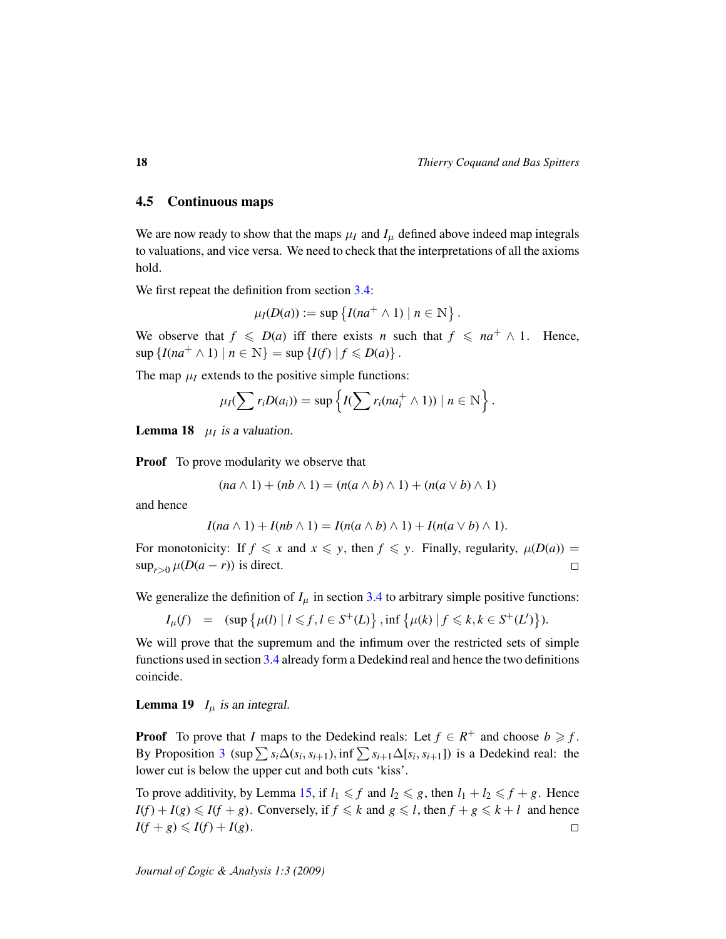## <span id="page-17-0"></span>4.5 Continuous maps

We are now ready to show that the maps  $\mu_I$  and  $I_\mu$  defined above indeed map integrals to valuations, and vice versa. We need to check that the interpretations of all the axioms hold.

We first repeat the definition from section [3.4:](#page-10-0)

$$
\mu_I(D(a)) := \sup \left\{ I(na^+ \wedge 1) \mid n \in \mathbb{N} \right\}.
$$

We observe that  $f \le D(a)$  iff there exists *n* such that  $f \le na^+ \wedge 1$ . Hence,  $\sup \{I(na^+ \wedge 1) \mid n \in \mathbb{N}\} = \sup \{I(f) \mid f \le D(a)\}.$ 

The map  $\mu_I$  extends to the positive simple functions:

$$
\mu_I(\sum r_i D(a_i)) = \sup \left\{ I(\sum r_i(n a_i^+ \wedge 1)) \mid n \in \mathbb{N} \right\}.
$$

**Lemma 18**  $\mu_I$  is a valuation.

**Proof** To prove modularity we observe that

$$
(na \wedge 1) + (nb \wedge 1) = (n(a \wedge b) \wedge 1) + (n(a \vee b) \wedge 1)
$$

and hence

$$
I(na \wedge 1) + I(nb \wedge 1) = I(n(a \wedge b) \wedge 1) + I(n(a \vee b) \wedge 1).
$$

For monotonicity: If  $f \le x$  and  $x \le y$ , then  $f \le y$ . Finally, regularity,  $\mu(D(a)) =$  $\sup_{r>0} \mu(D(a-r))$  is direct.  $\Box$ 

We generalize the definition of  $I_\mu$  in section [3.4](#page-10-0) to arbitrary simple positive functions:

$$
I_{\mu}(f) = (\sup \{ \mu(l) \mid l \leq f, l \in S^{+}(L) \}, \inf \{ \mu(k) \mid f \leq k, k \in S^{+}(L') \} ).
$$

We will prove that the supremum and the infimum over the restricted sets of simple functions used in section [3.4](#page-10-0) already form a Dedekind real and hence the two definitions coincide.

<span id="page-17-1"></span>**Lemma 19**  $I_{\mu}$  is an integral.

**Proof** To prove that *I* maps to the Dedekind reals: Let  $f \in R^+$  and choose  $b \geq f$ . By Proposition [3](#page-16-1) (sup  $\sum s_i \Delta(s_i, s_{i+1})$ , inf  $\sum s_{i+1} \Delta[s_i, s_{i+1}]$ ) is a Dedekind real: the lower cut is below the upper cut and both cuts 'kiss'.

To prove additivity, by Lemma [15,](#page-15-1) if  $l_1 \leq f$  and  $l_2 \leq g$ , then  $l_1 + l_2 \leq f + g$ . Hence  $I(f) + I(g) \leq I(f + g)$ . Conversely, if  $f \leq k$  and  $g \leq l$ , then  $f + g \leq k + l$  and hence  $I(f+g) \leq I(f) + I(g).$  $\Box$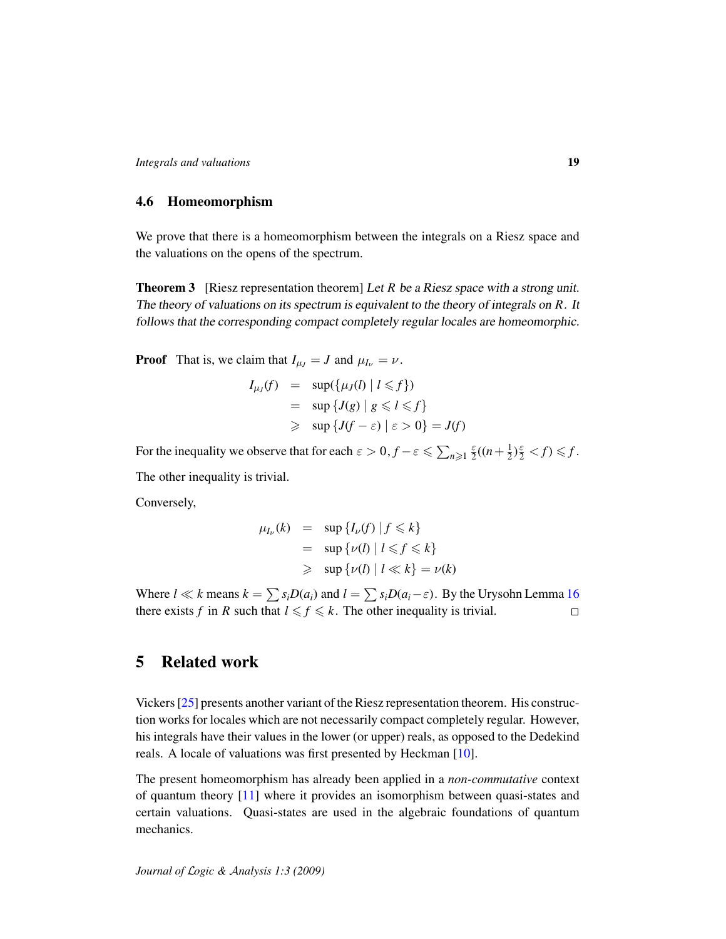## 4.6 Homeomorphism

We prove that there is a homeomorphism between the integrals on a Riesz space and the valuations on the opens of the spectrum.

<span id="page-18-0"></span>**Theorem 3** [Riesz representation theorem] Let *R* be a Riesz space with a strong unit. The theory of valuations on its spectrum is equivalent to the theory of integrals on *R*. It follows that the corresponding compact completely regular locales are homeomorphic.

**Proof** That is, we claim that  $I_{\mu J} = J$  and  $\mu_{I_{\nu}} = \nu$ .

$$
I_{\mu_J}(f) = \sup\{\mu_J(l) | l \leq f\}
$$
  
= 
$$
\sup \{J(g) | g \leq l \leq f\}
$$
  
\$\geq\$ 
$$
\sup \{J(f - \varepsilon) | \varepsilon > 0\} = J(f)
$$

For the inequality we observe that for each  $\varepsilon > 0$ ,  $f - \varepsilon \leq \sum_{n \geq 1} \frac{\varepsilon}{2}$  $\frac{\varepsilon}{2}((n+\frac{1}{2}))$  $(\frac{1}{2})^{\frac{\varepsilon}{2}} < f$   $\leq f$ . The other inequality is trivial.

Conversely,

$$
\mu_{I_{\nu}}(k) = \sup \{ I_{\nu}(f) \mid f \le k \}
$$
  
= 
$$
\sup \{ \nu(l) \mid l \le f \le k \}
$$
  
\$\ge\$ 
$$
\sup \{ \nu(l) \mid l \ll k \} = \nu(k)
$$

Where  $l \ll k$  means  $k = \sum s_i D(a_i)$  and  $l = \sum s_i D(a_i - \varepsilon)$ . By the Urysohn Lemma [16](#page-15-2) there exists *f* in *R* such that  $l \leq f \leq k$ . The other inequality is trivial.  $\Box$ 

# 5 Related work

Vickers [\[25\]](#page-20-8) presents another variant of the Riesz representation theorem. His construction works for locales which are not necessarily compact completely regular. However, his integrals have their values in the lower (or upper) reals, as opposed to the Dedekind reals. A locale of valuations was first presented by Heckman [\[10\]](#page-20-14).

The present homeomorphism has already been applied in a *non-commutative* context of quantum theory [\[11\]](#page-20-15) where it provides an isomorphism between quasi-states and certain valuations. Quasi-states are used in the algebraic foundations of quantum mechanics.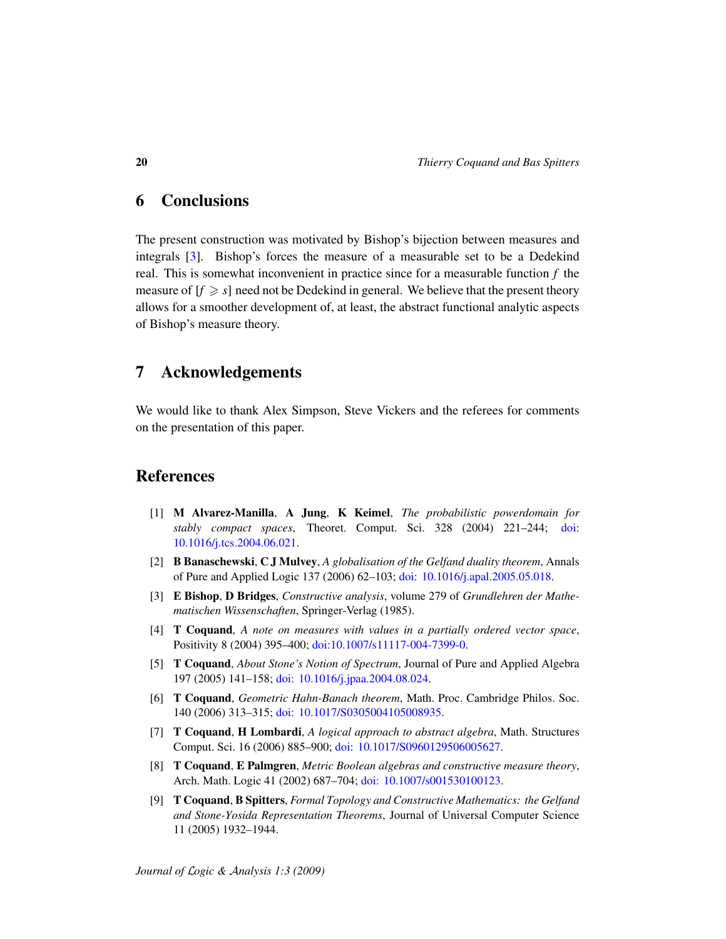## 6 Conclusions

The present construction was motivated by Bishop's bijection between measures and integrals [\[3\]](#page-19-8). Bishop's forces the measure of a measurable set to be a Dedekind real. This is somewhat inconvenient in practice since for a measurable function *f* the measure of  $[f \geq s]$  need not be Dedekind in general. We believe that the present theory allows for a smoother development of, at least, the abstract functional analytic aspects of Bishop's measure theory.

## 7 Acknowledgements

We would like to thank Alex Simpson, Steve Vickers and the referees for comments on the presentation of this paper.

# References

- <span id="page-19-0"></span>[1] M Alvarez-Manilla, A Jung, K Keimel, *The probabilistic powerdomain for stably compact spaces*, Theoret. Comput. Sci. 328 (2004) 221–244; [doi:](http://dx.doi.org/doi:10.1016/j.tcs.2004.06.021) [10.1016/j.tcs.2004.06.021.](http://dx.doi.org/doi:10.1016/j.tcs.2004.06.021)
- <span id="page-19-5"></span>[2] B Banaschewski, C J Mulvey, *A globalisation of the Gelfand duality theorem*, Annals of Pure and Applied Logic 137 (2006) 62–103; [doi: 10.1016/j.apal.2005.05.018.](http://dx.doi.org/doi:10.1016/j.apal.2005.05.018)
- <span id="page-19-8"></span>[3] E Bishop, D Bridges, *Constructive analysis*, volume 279 of *Grundlehren der Mathematischen Wissenschaften*, Springer-Verlag (1985).
- <span id="page-19-6"></span>[4] T Coquand, *A note on measures with values in a partially ordered vector space*, Positivity 8 (2004) 395–400; [doi:10.1007/s11117-004-7399-0.](http://dx.doi.org/doi:10.1007/s11117-004-7399-0)
- <span id="page-19-2"></span>[5] T Coquand, *About Stone's Notion of Spectrum*, Journal of Pure and Applied Algebra 197 (2005) 141–158; [doi: 10.1016/j.jpaa.2004.08.024.](http://dx.doi.org/doi:10.1016/j.jpaa.2004.08.024)
- <span id="page-19-4"></span>[6] T Coquand, *Geometric Hahn-Banach theorem*, Math. Proc. Cambridge Philos. Soc. 140 (2006) 313–315; [doi: 10.1017/S0305004105008935.](http://dx.doi.org/)
- <span id="page-19-1"></span>[7] T Coquand, H Lombardi, *A logical approach to abstract algebra*, Math. Structures Comput. Sci. 16 (2006) 885–900; [doi: 10.1017/S0960129506005627.](http://dx.doi.org/)
- <span id="page-19-7"></span>[8] T Coquand, E Palmgren, *Metric Boolean algebras and constructive measure theory*, Arch. Math. Logic 41 (2002) 687–704; [doi: 10.1007/s001530100123.](http://dx.doi.org/)
- <span id="page-19-3"></span>[9] T Coquand, B Spitters, *Formal Topology and Constructive Mathematics: the Gelfand and Stone-Yosida Representation Theorems*, Journal of Universal Computer Science 11 (2005) 1932–1944.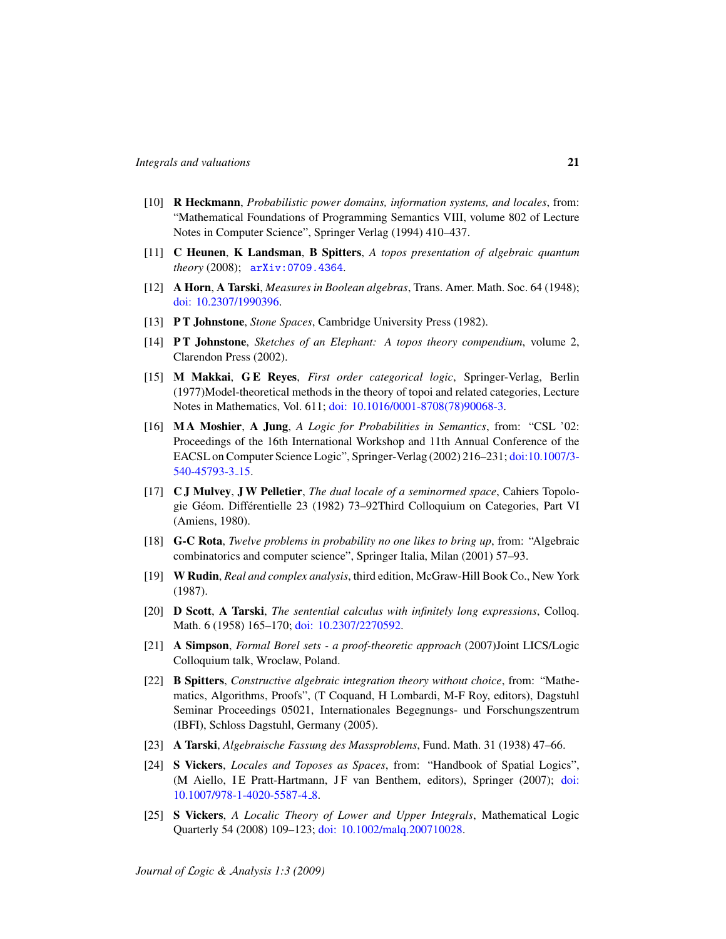- <span id="page-20-14"></span>[10] R Heckmann, *Probabilistic power domains, information systems, and locales*, from: "Mathematical Foundations of Programming Semantics VIII, volume 802 of Lecture Notes in Computer Science", Springer Verlag (1994) 410–437.
- <span id="page-20-15"></span>[11] C Heunen, K Landsman, B Spitters, *A topos presentation of algebraic quantum theory* (2008); [arXiv:0709.4364](http://arxiv.org/abs/0709.4364).
- <span id="page-20-13"></span>[12] A Horn, A Tarski, *Measures in Boolean algebras*, Trans. Amer. Math. Soc. 64 (1948); [doi: 10.2307/1990396.](http://dx.doi.org/doi:10.2307/1990396)
- <span id="page-20-4"></span>[13] P T Johnstone, *Stone Spaces*, Cambridge University Press (1982).
- <span id="page-20-3"></span>[14] P T Johnstone, *Sketches of an Elephant: A topos theory compendium*, volume 2, Clarendon Press (2002).
- <span id="page-20-9"></span>[15] M Makkai, G E Reyes, *First order categorical logic*, Springer-Verlag, Berlin (1977)Model-theoretical methods in the theory of topoi and related categories, Lecture Notes in Mathematics, Vol. 611; [doi: 10.1016/0001-8708\(78\)90068-3.](http://dx.doi.org/doi:10.1016/0001-8708(78)90068-3)
- <span id="page-20-7"></span>[16] M A Moshier, A Jung, *A Logic for Probabilities in Semantics*, from: "CSL '02: Proceedings of the 16th International Workshop and 11th Annual Conference of the EACSL on Computer Science Logic", Springer-Verlag (2002) 216–231; [doi:10.1007/3-](http://dx.doi.org/doi:10.1007/3-540-45793-3_15) [540-45793-3](http://dx.doi.org/doi:10.1007/3-540-45793-3_15) 15.
- <span id="page-20-6"></span>[17] C J Mulvey, J W Pelletier, *The dual locale of a seminormed space*, Cahiers Topologie Géom. Différentielle 23 (1982) 73–92Third Colloquium on Categories, Part VI (Amiens, 1980).
- <span id="page-20-1"></span>[18] G-C Rota, *Twelve problems in probability no one likes to bring up*, from: "Algebraic combinatorics and computer science", Springer Italia, Milan (2001) 57–93.
- <span id="page-20-11"></span>[19] W Rudin, *Real and complex analysis*, third edition, McGraw-Hill Book Co., New York (1987).
- <span id="page-20-10"></span>[20] D Scott, A Tarski, *The sentential calculus with infinitely long expressions*, Colloq. Math. 6 (1958) 165-170; [doi: 10.2307/2270592.](http://dx.doi.org/doi:10.2307/2270592)
- <span id="page-20-2"></span>[21] A Simpson, *Formal Borel sets - a proof-theoretic approach* (2007)Joint LICS/Logic Colloquium talk, Wroclaw, Poland.
- <span id="page-20-0"></span>[22] B Spitters, *Constructive algebraic integration theory without choice*, from: "Mathematics, Algorithms, Proofs", (T Coquand, H Lombardi, M-F Roy, editors), Dagstuhl Seminar Proceedings 05021, Internationales Begegnungs- und Forschungszentrum (IBFI), Schloss Dagstuhl, Germany (2005).
- <span id="page-20-12"></span>[23] A Tarski, *Algebraische Fassung des Massproblems*, Fund. Math. 31 (1938) 47–66.
- <span id="page-20-5"></span>[24] S Vickers, *Locales and Toposes as Spaces*, from: "Handbook of Spatial Logics", (M Aiello, IE Pratt-Hartmann, JF van Benthem, editors), Springer (2007); [doi:](http://dx.doi.org/doi:10.1007/978-1-4020-5587-4_8) [10.1007/978-1-4020-5587-4](http://dx.doi.org/doi:10.1007/978-1-4020-5587-4_8) 8.
- <span id="page-20-8"></span>[25] S Vickers, *A Localic Theory of Lower and Upper Integrals*, Mathematical Logic Quarterly 54 (2008) 109–123; [doi: 10.1002/malq.200710028.](http://dx.doi.org/10.1002/malq.200710028)